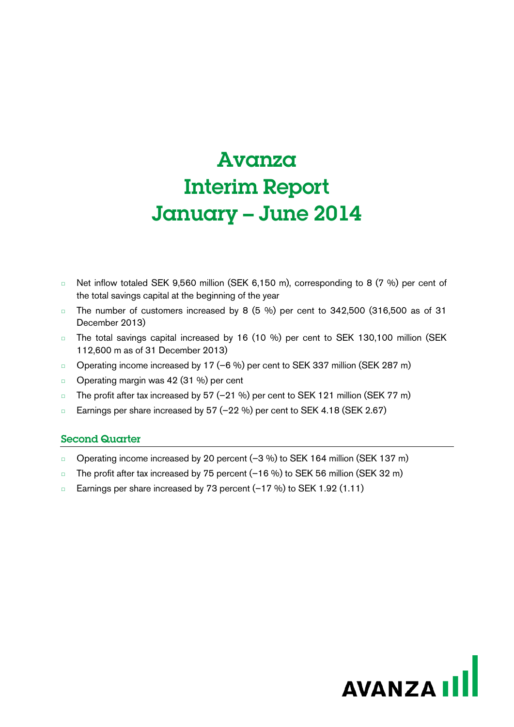# **Avanza** Interim Report January – June 2014

- □ Net inflow totaled SEK 9,560 million (SEK 6,150 m), corresponding to 8 (7 %) per cent of the total savings capital at the beginning of the year
- □ The number of customers increased by 8 (5 %) per cent to 342,500 (316,500 as of 31 December 2013)
- □ The total savings capital increased by 16 (10 %) per cent to SEK 130,100 million (SEK 112,600 m as of 31 December 2013)
- □ Operating income increased by 17 (-6 %) per cent to SEK 337 million (SEK 287 m)
- □ Operating margin was 42 (31 %) per cent
- □ The profit after tax increased by 57 (-21 %) per cent to SEK 121 million (SEK 77 m)
- □ Earnings per share increased by 57 (–22 %) per cent to SEK 4.18 (SEK 2.67)

## Second Quarter

- □ Operating income increased by 20 percent (–3 %) to SEK 164 million (SEK 137 m)
- □ The profit after tax increased by 75 percent (–16 %) to SEK 56 million (SEK 32 m)
- □ Earnings per share increased by 73 percent (–17 %) to SEK 1.92 (1.11)

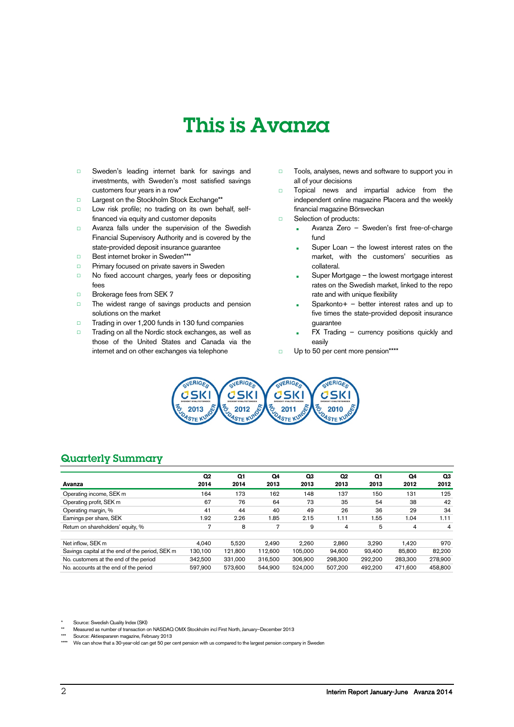# This is Avanza

- □ Sweden's leading internet bank for savings and investments, with Sweden's most satisfied savings customers four years in a row\*
- □ Largest on the Stockholm Stock Exchange\*\*
- □ Low risk profile; no trading on its own behalf, selffinanced via equity and customer deposits
- □ Avanza falls under the supervision of the Swedish Financial Supervisory Authority and is covered by the state-provided deposit insurance guarantee
- □ Best internet broker in Sweden\*\*
- □ Primary focused on private savers in Sweden
- □ No fixed account charges, yearly fees or depositing fees
- □ Brokerage fees from SEK 7
- □ The widest range of savings products and pension solutions on the market
- □ Trading in over 1,200 funds in 130 fund companies
- □ Trading on all the Nordic stock exchanges, as well as those of the United States and Canada via the internet and on other exchanges via telephone
- □ Tools, analyses, news and software to support you in all of your decisions
- □ Topical news and impartial advice from the independent online magazine Placera and the weekly financial magazine Börsveckan
- □ Selection of products:
	- Avanza Zero Sweden's first free-of-charge fund
	- Super Loan  $-$  the lowest interest rates on the market, with the customers' securities as collateral.
	- Super Mortgage the lowest mortgage interest rates on the Swedish market, linked to the repo rate and with unique flexibility
	- Sparkonto + better interest rates and up to five times the state-provided deposit insurance guarantee
	- $FX$  Trading currency positions quickly and easily
- □ Up to 50 per cent more pension\*\*\*\*



## Quarterly Summary

|                                                 | Q <sub>2</sub> | Q1      | Q4      | Q3      | Q <sub>2</sub> | Q1      | Q4      | Q3      |
|-------------------------------------------------|----------------|---------|---------|---------|----------------|---------|---------|---------|
| Avanza                                          | 2014           | 2014    | 2013    | 2013    | 2013           | 2013    | 2012    | 2012    |
| Operating income, SEK m                         | 164            | 173     | 162     | 148     | 137            | 150     | 131     | 125     |
| Operating profit, SEK m                         | 67             | 76      | 64      | 73      | 35             | 54      | 38      | 42      |
| Operating margin, %                             | 41             | 44      | 40      | 49      | 26             | 36      | 29      | 34      |
| Earnings per share, SEK                         | 1.92           | 2.26    | 1.85    | 2.15    | 1.11           | .55     | 1.04    | 1.11    |
| Return on shareholders' equity, %               | 7              | 8       | 7       | 9       | 4              | 5       | 4       | 4       |
| Net inflow. SEK m                               | 4.040          | 5.520   | 2.490   | 2.260   | 2.860          | 3.290   | 1.420   | 970     |
| Savings capital at the end of the period, SEK m | 130.100        | 121.800 | 112.600 | 105.000 | 94.600         | 93.400  | 85,800  | 82,200  |
| No. customers at the end of the period          | 342.500        | 331.000 | 316,500 | 306,900 | 298.300        | 292.200 | 283.300 | 278.900 |
| No. accounts at the end of the period           | 597.900        | 573,600 | 544.900 | 524.000 | 507.200        | 492.200 | 471.600 | 458,800 |

Source: Swedish Quality Index (SKI)

- \*\* Measured as number of transaction on NASDAQ OMX Stockholm incl First North, January–December 2013
- Source: Aktiespararen magazine, February 2013
- We can show that a 30-year-old can get 50 per cent pension with us compared to the largest pension company in Sweden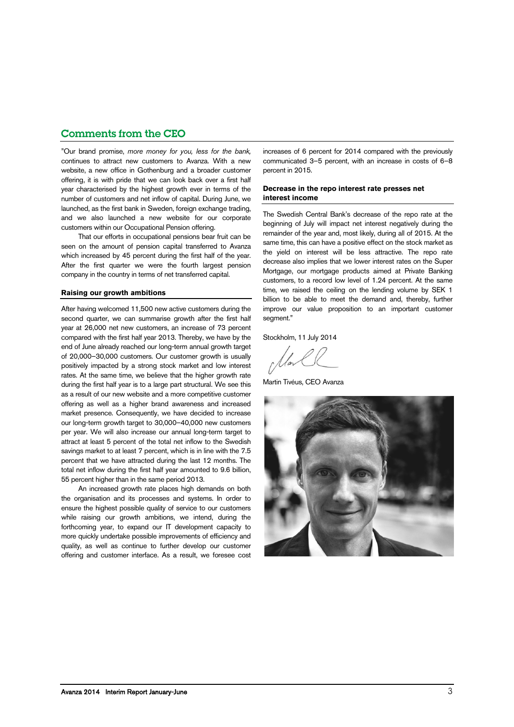## Comments from the CEO

"Our brand promise, *more money for you, less for the bank,* continues to attract new customers to Avanza. With a new website, a new office in Gothenburg and a broader customer offering, it is with pride that we can look back over a first half year characterised by the highest growth ever in terms of the number of customers and net inflow of capital. During June, we launched, as the first bank in Sweden, foreign exchange trading, and we also launched a new website for our corporate customers within our Occupational Pension offering.

That our efforts in occupational pensions bear fruit can be seen on the amount of pension capital transferred to Avanza which increased by 45 percent during the first half of the year. After the first quarter we were the fourth largest pension company in the country in terms of net transferred capital.

#### **Raising our growth ambitions**

After having welcomed 11,500 new active customers during the second quarter, we can summarise growth after the first half year at 26,000 net new customers, an increase of 73 percent compared with the first half year 2013. Thereby, we have by the end of June already reached our long-term annual growth target of 20,000–30,000 customers. Our customer growth is usually positively impacted by a strong stock market and low interest rates. At the same time, we believe that the higher growth rate during the first half year is to a large part structural. We see this as a result of our new website and a more competitive customer offering as well as a higher brand awareness and increased market presence. Consequently, we have decided to increase our long-term growth target to 30,000–40,000 new customers per year. We will also increase our annual long-term target to attract at least 5 percent of the total net inflow to the Swedish savings market to at least 7 percent, which is in line with the 7.5 percent that we have attracted during the last 12 months. The total net inflow during the first half year amounted to 9.6 billion, 55 percent higher than in the same period 2013.

An increased growth rate places high demands on both the organisation and its processes and systems. In order to ensure the highest possible quality of service to our customers while raising our growth ambitions, we intend, during the forthcoming year, to expand our IT development capacity to more quickly undertake possible improvements of efficiency and quality, as well as continue to further develop our customer offering and customer interface. As a result, we foresee cost

increases of 6 percent for 2014 compared with the previously communicated 3–5 percent, with an increase in costs of 6–8 percent in 2015.

#### **Decrease in the repo interest rate presses net interest income**

The Swedish Central Bank's decrease of the repo rate at the beginning of July will impact net interest negatively during the remainder of the year and, most likely, during all of 2015. At the same time, this can have a positive effect on the stock market as the yield on interest will be less attractive. The repo rate decrease also implies that we lower interest rates on the Super Mortgage, our mortgage products aimed at Private Banking customers, to a record low level of 1.24 percent. At the same time, we raised the ceiling on the lending volume by SEK 1 billion to be able to meet the demand and, thereby, further improve our value proposition to an important customer segment."

Stockholm, 11 July 2014

Martin Tivéus, CEO Avanza

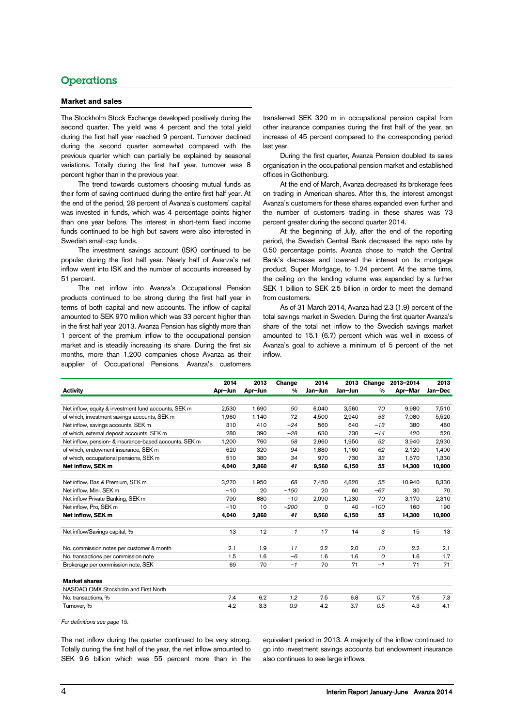## **Operations**

#### **Market and sales**

The Stockholm Stock Exchange developed positively during the second quarter. The yield was 4 percent and the total yield during the first half year reached 9 percent. Turnover declined during the second quarter somewhat compared with the previous quarter which can partially be explained by seasonal variations. Totally during the first half year, turnover was 8 percent higher than in the previous year.

The trend towards customers choosing mutual funds as their form of saving continued during the entire first half year. At the end of the period, 28 percent of Avanza's customers' capital was invested in funds, which was 4 percentage points higher than one year before. The interest in short-term fixed income funds continued to be high but savers were also interested in Swedish small-cap funds.

The investment savings account (ISK) continued to be popular during the first half year. Nearly half of Avanza's net inflow went into ISK and the number of accounts increased by 51 percent.

The net inflow into Avanza's Occupational Pension products continued to be strong during the first half year in terms of both capital and new accounts. The inflow of capital amounted to SEK 970 million which was 33 percent higher than in the first half year 2013. Avanza Pension has slightly more than 1 percent of the premium inflow to the occupational pension market and is steadily increasing its share. During the first six months, more than 1,200 companies chose Avanza as their supplier of Occupational Pensions. Avanza's customers

transferred SEK 320 m in occupational pension capital from other insurance companies during the first half of the year, an increase of 45 percent compared to the corresponding period last year.

During the first quarter, Avanza Pension doubled its sales organisation in the occupational pension market and established offices in Gothenburg.

At the end of March, Avanza decreased its brokerage fees on trading in American shares. After this, the interest amongst Avanza's customers for these shares expanded even further and the number of customers trading in these shares was 73 percent greater during the second quarter 2014.

At the beginning of July, after the end of the reporting period, the Swedish Central Bank decreased the repo rate by 0.50 percentage points. Avanza chose to match the Central Bank's decrease and lowered the interest on its mortgage product, Super Mortgage, to 1.24 percent. At the same time, the ceiling on the lending volume was expanded by a further SEK 1 billion to SEK 2.5 billion in order to meet the demand from customers.

As of 31 March 2014, Avanza had 2.3 (1.9) percent of the total savings market in Sweden. During the first quarter Avanza's share of the total net inflow to the Swedish savings market amounted to 15.1 (6.7) percent which was well in excess of Avanza's goal to achieve a minimum of 5 percent of the net inflow.

|                                                        | 2014    | 2013    | Change       | 2014     | 2013    | Change | 2013-2014 | 2013    |
|--------------------------------------------------------|---------|---------|--------------|----------|---------|--------|-----------|---------|
| <b>Activity</b>                                        | Apr-Jun | Apr-Jun | %            | Jan-Jun  | Jan-Jun | %      | Apr-Mar   | Jan-Dec |
|                                                        |         |         |              |          |         |        |           |         |
| Net inflow, equity & investment fund accounts, SEK m   | 2,530   | 1,690   | 50           | 6,040    | 3,560   | 70     | 9,980     | 7,510   |
| of which, investment savings accounts, SEK m           | 1.960   | 1,140   | 72           | 4.500    | 2.940   | 53     | 7.080     | 5,520   |
| Net inflow, savings accounts, SEK m                    | 310     | 410     | $-24$        | 560      | 640     | $-13$  | 380       | 460     |
| of which, external deposit accounts, SEK m             | 280     | 390     | $-28$        | 630      | 730     | $-14$  | 420       | 520     |
| Net inflow, pension- & insurance-based accounts, SEK m | 1,200   | 760     | 58           | 2,960    | 1,950   | 52     | 3,940     | 2,930   |
| of which, endowment insurance, SEK m                   | 620     | 320     | 94           | 1.880    | 1,160   | 62     | 2,120     | 1,400   |
| of which, occupational pensions, SEK m                 | 510     | 380     | 34           | 970      | 730     | 33     | 1,570     | 1,330   |
| Net inflow, SEK m                                      | 4.040   | 2.860   | 41           | 9.560    | 6.150   | 55     | 14.300    | 10,900  |
|                                                        |         |         |              |          |         |        |           |         |
| Net inflow, Bas & Premium, SEK m                       | 3.270   | 1.950   | 68           | 7.450    | 4.820   | 55     | 10.940    | 8,330   |
| Net inflow, Mini, SEK m                                | $-10$   | 20      | $-150$       | 20       | 60      | $-67$  | 30        | 70      |
| Net inflow Private Banking, SEK m                      | 790     | 880     | $-10$        | 2,090    | 1.230   | 70     | 3,170     | 2,310   |
| Net inflow, Pro, SEK m                                 | $-10$   | 10      | $-200$       | $\Omega$ | 40      | $-100$ | 160       | 190     |
| Net inflow, SEK m                                      | 4,040   | 2,860   | 41           | 9,560    | 6,150   | 55     | 14,300    | 10,900  |
|                                                        |         |         |              |          |         |        |           |         |
| Net inflow/Savings capital, %                          | 13      | 12      | $\mathbf{1}$ | 17       | 14      | 3      | 15        | 13      |
|                                                        |         |         |              |          |         |        |           |         |
| No. commission notes per customer & month              | 2.1     | 1.9     | 11           | 2.2      | 2.0     | 10     | 2.2       | 2.1     |
| No. transactions per commission note                   | 1.5     | 1.6     | $-6$         | 1.6      | 1.6     | 0      | 1.6       | 1.7     |
| Brokerage per commission note, SEK                     | 69      | 70      | $-1$         | 70       | 71      | $-1$   | 71        | 71      |
|                                                        |         |         |              |          |         |        |           |         |
| <b>Market shares</b>                                   |         |         |              |          |         |        |           |         |
| NASDAQ OMX Stockholm and First North                   |         |         |              |          |         |        |           |         |
| No. transactions, %                                    | 7.4     | 6.2     | 1.2          | 7.5      | 6.8     | 0.7    | 7.6       | 7.3     |
| Turnover, %                                            | 4.2     | 3.3     | 0.9          | 4.2      | 3.7     | 0.5    | 4.3       | 4.1     |
|                                                        |         |         |              |          |         |        |           |         |

*For definitions see page [15.](#page-14-0)*

The net inflow during the quarter continued to be very strong. Totally during the first half of the year, the net inflow amounted to SEK 9.6 billion which was 55 percent more than in the equivalent period in 2013. A majority of the inflow continued to go into investment savings accounts but endowment insurance also continues to see large inflows.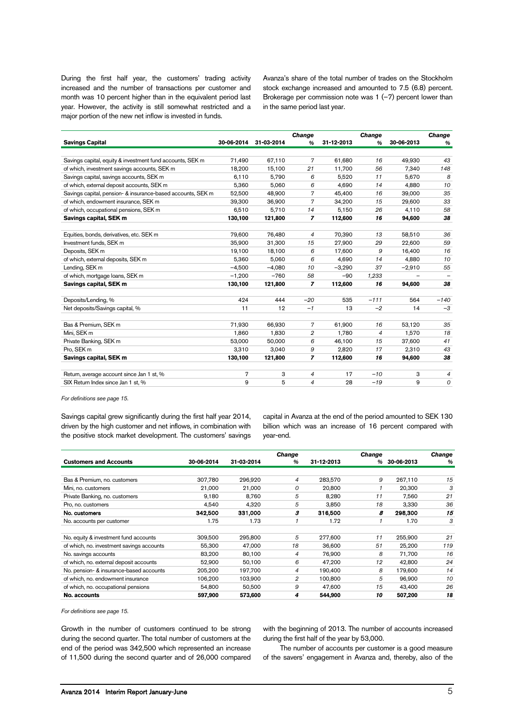During the first half year, the customers' trading activity increased and the number of transactions per customer and month was 10 percent higher than in the equivalent period last year. However, the activity is still somewhat restricted and a major portion of the new net inflow is invested in funds.

Avanza's share of the total number of trades on the Stockholm stock exchange increased and amounted to 7.5 (6.8) percent. Brokerage per commission note was  $1$  (-7) percent lower than in the same period last year.

|                                                             |            |            | Change |            | Change        |            | <b>Change</b> |
|-------------------------------------------------------------|------------|------------|--------|------------|---------------|------------|---------------|
| <b>Savings Capital</b>                                      | 30-06-2014 | 31-03-2014 | $\%$   | 31-12-2013 | $\frac{9}{6}$ | 30-06-2013 | $\%$          |
|                                                             |            |            |        |            |               |            |               |
| Savings capital, equity & investment fund accounts, SEK m   | 71,490     | 67,110     | 7      | 61.680     | 16            | 49.930     | 43            |
| of which, investment savings accounts, SEK m                | 18,200     | 15,100     | 21     | 11,700     | 56            | 7,340      | 148           |
| Savings capital, savings accounts, SEK m                    | 6,110      | 5,790      | 6      | 5,520      | 11            | 5,670      | 8             |
| of which, external deposit accounts, SEK m                  | 5,360      | 5,060      | 6      | 4,690      | 14            | 4,880      | 10            |
| Savings capital, pension- & insurance-based accounts, SEK m | 52,500     | 48,900     | 7      | 45,400     | 16            | 39,000     | 35            |
| of which, endowment insurance, SEK m                        | 39,300     | 36,900     | 7      | 34,200     | 15            | 29,600     | 33            |
| of which, occupational pensions, SEK m                      | 6.510      | 5,710      | 14     | 5.150      | 26            | 4,110      | 58            |
| Savings capital, SEK m                                      | 130,100    | 121,800    | 7      | 112,600    | 16            | 94,600     | 38            |
|                                                             |            |            |        |            |               |            |               |
| Equities, bonds, derivatives, etc. SEK m                    | 79,600     | 76,480     | 4      | 70,390     | 13            | 58,510     | 36            |
| Investment funds, SEK m                                     | 35,900     | 31,300     | 15     | 27,900     | 29            | 22,600     | 59            |
| Deposits, SEK m                                             | 19,100     | 18,100     | 6      | 17,600     | 9             | 16,400     | 16            |
| of which, external deposits, SEK m                          | 5,360      | 5,060      | 6      | 4,690      | 14            | 4,880      | 10            |
| Lending, SEK m                                              | $-4.500$   | $-4.080$   | 10     | $-3,290$   | 37            | $-2.910$   | 55            |
| of which, mortgage loans, SEK m                             | $-1,200$   | $-760$     | 58     | $-90$      | 1,233         |            |               |
| Savings capital, SEK m                                      | 130,100    | 121,800    | 7      | 112,600    | 16            | 94,600     | 38            |
|                                                             |            |            |        |            |               |            |               |
| Deposits/Lending, %                                         | 424        | 444        | $-20$  | 535        | $-111$        | 564        | $-140$        |
| Net deposits/Savings capital, %                             | 11         | 12         | $-1$   | 13         | $-2$          | 14         | $-3$          |
|                                                             |            |            |        |            |               |            |               |
| Bas & Premium, SEK m                                        | 71,930     | 66,930     | 7      | 61,900     | 16            | 53,120     | 35            |
| Mini, SEK m                                                 | 1,860      | 1,830      | 2      | 1.780      | 4             | 1,570      | 18            |
| Private Banking, SEK m                                      | 53,000     | 50,000     | 6      | 46,100     | 15            | 37,600     | 41            |
| Pro, SEK m                                                  | 3,310      | 3,040      | 9      | 2,820      | 17            | 2,310      | 43            |
| Savings capital, SEK m                                      | 130,100    | 121,800    | 7      | 112,600    | 16            | 94.600     | 38            |
|                                                             |            |            |        |            |               |            |               |
| Return, average account since Jan 1 st, %                   | 7          | 3          | 4      | 17         | $-10$         | З          | 4             |
| SIX Return Index since Jan 1 st, %                          | 9          | 5          | 4      | 28         | $-19$         | 9          | 0             |

*For definitions see page [15.](#page-14-0)*

Savings capital grew significantly during the first half year 2014, driven by the high customer and net inflows, in combination with the positive stock market development. The customers' savings capital in Avanza at the end of the period amounted to SEK 130 billion which was an increase of 16 percent compared with year-end.

|                                           |            |            | <b>Change</b> |            | <b>Change</b> |            | <b>Change</b> |
|-------------------------------------------|------------|------------|---------------|------------|---------------|------------|---------------|
| <b>Customers and Accounts</b>             | 30-06-2014 | 31-03-2014 | %             | 31-12-2013 | $\%$          | 30-06-2013 | %             |
|                                           |            |            |               |            |               |            |               |
| Bas & Premium, no. customers              | 307,780    | 296,920    | 4             | 283,570    | 9             | 267,110    | 15            |
| Mini, no. customers                       | 21.000     | 21,000     | 0             | 20,800     |               | 20.300     | 3             |
| Private Banking, no. customers            | 9.180      | 8.760      | 5             | 8.280      | 11            | 7.560      | 21            |
| Pro, no. customers                        | 4.540      | 4.320      | 5             | 3.850      | 18            | 3,330      | 36            |
| No. customers                             | 342,500    | 331,000    | 3             | 316,500    | 8             | 298,300    | 15            |
| No. accounts per customer                 | 1.75       | 1.73       |               | 1.72       |               | 1.70       | 3             |
|                                           |            |            |               |            |               |            |               |
| No. equity & investment fund accounts     | 309,500    | 295,800    | 5             | 277,600    | 11            | 255,900    | 21            |
| of which, no. investment savings accounts | 55,300     | 47.000     | 18            | 36,600     | 51            | 25.200     | 119           |
| No. savings accounts                      | 83.200     | 80.100     | 4             | 76.900     | 8             | 71.700     | 16            |
| of which, no. external deposit accounts   | 52.900     | 50.100     | 6             | 47.200     | 12            | 42.800     | 24            |
| No. pension- & insurance-based accounts   | 205,200    | 197,700    | 4             | 190,400    | 8             | 179.600    | 14            |
| of which, no. endowment insurance         | 106,200    | 103,900    | 2             | 100,800    | 5             | 96.900     | 10            |
| of which, no. occupational pensions       | 54.800     | 50,500     | 9             | 47,600     | 15            | 43.400     | 26            |
| No. accounts                              | 597.900    | 573,600    | 4             | 544.900    | 10            | 507.200    | 18            |

*For definitions see page [15.](#page-14-0)*

Growth in the number of customers continued to be strong during the second quarter. The total number of customers at the end of the period was 342,500 which represented an increase of 11,500 during the second quarter and of 26,000 compared

with the beginning of 2013. The number of accounts increased during the first half of the year by 53,000.

The number of accounts per customer is a good measure of the savers' engagement in Avanza and, thereby, also of the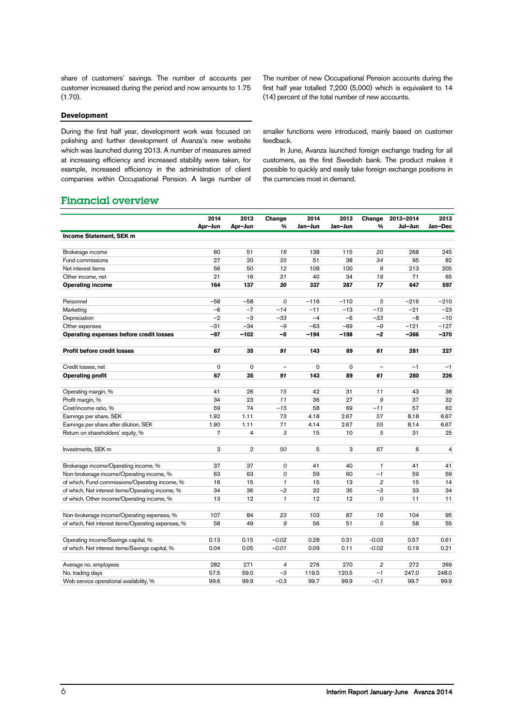share of customers' savings. The number of accounts per customer increased during the period and now amounts to 1.75 (1.70).

#### **Development**

During the first half year, development work was focused on polishing and further development of Avanza's new website which was launched during 2013. A number of measures aimed at increasing efficiency and increased stability were taken, for example, increased efficiency in the administration of client companies within Occupational Pension. A large number of The number of new Occupational Pension accounts during the first half year totalled 7,200 (5,000) which is equivalent to 14 (14) percent of the total number of new accounts.

smaller functions were introduced, mainly based on customer feedback.

In June, Avanza launched foreign exchange trading for all customers, as the first Swedish bank. The product makes it possible to quickly and easily take foreign exchange positions in the currencies most in demand.

## Financial overview

|                                                    | 2014           | 2013           | Change        | 2014        | 2013    | Change         | 2013-2014 | 2013    |
|----------------------------------------------------|----------------|----------------|---------------|-------------|---------|----------------|-----------|---------|
|                                                    | Apr-Jun        | Apr-Jun        | $\frac{0}{0}$ | Jan-Jun     | Jan-Jun | $\frac{9}{6}$  | Jul-Jun   | Jan-Dec |
| Income Statement, SEK m                            |                |                |               |             |         |                |           |         |
| Brokerage income                                   | 60             | 51             | 18            | 138         | 115     | 20             | 268       | 245     |
| Fund commissions                                   | 27             | 20             | 35            | 51          | 38      | 34             | 95        | 82      |
| Net interest items                                 | 56             | 50             | 12            | 108         | 100     | 8              | 213       | 205     |
| Other income, net                                  | 21             | 16             | 31            | 40          | 34      | 18             | 71        | 65      |
| <b>Operating income</b>                            | 164            | 137            | 20            | 337         | 287     | 17             | 647       | 597     |
| Personnel                                          | $-58$          | $-58$          | 0             | $-116$      | $-110$  | 5              | $-216$    | $-210$  |
| Marketing                                          | $-6$           | $-7$           | $-14$         | $-11$       | $-13$   | $-15$          | $-21$     | $-23$   |
| Depreciation                                       | $-2$           | $-3$           | $-33$         | $-4$        | $-6$    | $-33$          | $-8$      | $-10$   |
| Other expenses                                     | $-31$          | $-34$          | $-9$          | $-63$       | $-69$   | $-9$           | $-121$    | $-127$  |
| Operating expenses before credit losses            | $-97$          | $-102$         | $-5$          | $-194$      | $-198$  | $-2$           | $-366$    | $-370$  |
| Profit before credit losses                        | 67             | 35             | 91            | 143         | 89      | 61             | 281       | 227     |
|                                                    |                |                |               |             |         |                |           |         |
| Credit losses, net                                 | $\mathsf 0$    | $\mathbf 0$    |               | $\mathbf 0$ | 0       |                | $-1$      | $-1$    |
| <b>Operating profit</b>                            | 67             | 35             | 91            | 143         | 89      | 61             | 280       | 226     |
| Operating margin, %                                | 41             | 26             | 15            | 42          | 31      | 11             | 43        | 38      |
| Profit margin, %                                   | 34             | 23             | 11            | 36          | 27      | 9              | 37        | 32      |
| Cost/income ratio, %                               | 59             | 74             | $-15$         | 58          | 69      | $-11$          | 57        | 62      |
| Earnings per share, SEK                            | 1.92           | 1.11           | 73            | 4.18        | 2.67    | 57             | 8.18      | 6.67    |
| Earnings per share after dilution, SEK             | 1.90           | 1.11           | 71            | 4.14        | 2.67    | 55             | 8.14      | 6.67    |
| Return on shareholders' equity, %                  | $\overline{7}$ | $\overline{4}$ | 3             | 15          | 10      | 5              | 31        | 25      |
| Investments, SEK m                                 | 3              | $\overline{2}$ | 50            | 5           | 3       | 67             | 6         | 4       |
| Brokerage income/Operating income, %               | 37             | 37             | 0             | 41          | 40      | $\mathcal I$   | 41        | 41      |
| Non-brokerage income/Operating income, %           | 63             | 63             | 0             | 59          | 60      | $-1$           | 59        | 59      |
| of which, Fund commissions/Operating income, %     | 16             | 15             | $\mathcal I$  | 15          | 13      | $\overline{2}$ | 15        | 14      |
| of which, Net interest items/Operating income, %   | 34             | 36             | $-2$          | 32          | 35      | $-3$           | 33        | 34      |
| of which, Other income/Operating income, %         | 13             | 12             | $\mathcal I$  | 12          | 12      | $\mathcal{O}$  | 11        | 11      |
|                                                    |                |                |               |             |         |                |           |         |
| Non-brokerage income/Operating expenses, %         | 107            | 84             | 23            | 103         | 87      | 16             | 104       | 95      |
| of which, Net interest items/Operating expenses, % | 58             | 49             | 9             | 56          | 51      | 5              | 58        | 55      |
| Operating income/Savings capital, %                | 0.13           | 0.15           | $-0.02$       | 0.28        | 0.31    | $-0.03$        | 0.57      | 0.61    |
| of which. Net interest items/Savings capital, %    | 0.04           | 0.05           | $-0.01$       | 0.09        | 0.11    | $-0.02$        | 0.19      | 0.21    |
|                                                    |                |                |               |             |         |                |           |         |
| Average no. employees                              | 282            | 271            | 4             | 276         | 270     | $\overline{2}$ | 272       | 269     |
| No. trading days                                   | 57.5           | 59.0           | $-3$          | 119.5       | 120.5   | $-1$           | 247.0     | 248.0   |
| Web service operational availability, %            | 99.6           | 99.9           | $-0.3$        | 99.7        | 99.9    | $-0.1$         | 99.7      | 99.9    |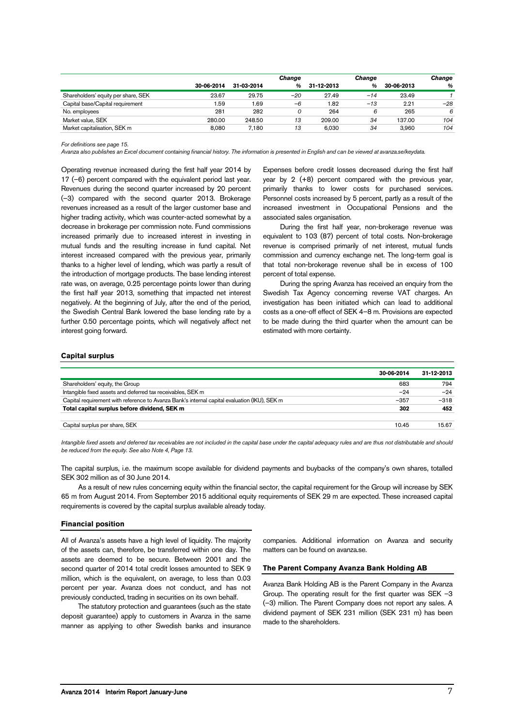|                                     |            |            | Change |            | Change |            | Change |
|-------------------------------------|------------|------------|--------|------------|--------|------------|--------|
|                                     | 30-06-2014 | 31-03-2014 | %      | 31-12-2013 | %      | 30-06-2013 | %      |
| Shareholders' equity per share, SEK | 23.67      | 29.75      | $-20$  | 27.49      | $-14$  | 23.49      |        |
| Capital base/Capital requirement    | 1.59       | 1.69       | $-6$   | 1.82       | $-13$  | 2.21       | $-28$  |
| No. employees                       | 281        | 282        |        | 264        | 6      | 265        | 6      |
| Market value, SEK                   | 280.00     | 248.50     | 13     | 209.00     | 34     | 137.00     | 104    |
| Market capitalisation, SEK m        | 8.080      | 7.180      | 13     | 6.030      | 34     | 3.960      | 104    |

*For definitions see page [15.](#page-14-0)*

*Avanza also publishes an Excel document containing financial history. The information is presented in English and can be viewed at avanza.se/keydata.*

Operating revenue increased during the first half year 2014 by 17 (–6) percent compared with the equivalent period last year. Revenues during the second quarter increased by 20 percent (–3) compared with the second quarter 2013. Brokerage revenues increased as a result of the larger customer base and higher trading activity, which was counter-acted somewhat by a decrease in brokerage per commission note. Fund commissions increased primarily due to increased interest in investing in mutual funds and the resulting increase in fund capital. Net interest increased compared with the previous year, primarily thanks to a higher level of lending, which was partly a result of the introduction of mortgage products. The base lending interest rate was, on average, 0.25 percentage points lower than during the first half year 2013, something that impacted net interest negatively. At the beginning of July, after the end of the period, the Swedish Central Bank lowered the base lending rate by a further 0.50 percentage points, which will negatively affect net interest going forward.

Expenses before credit losses decreased during the first half year by 2 (+8) percent compared with the previous year, primarily thanks to lower costs for purchased services. Personnel costs increased by 5 percent, partly as a result of the increased investment in Occupational Pensions and the associated sales organisation.

During the first half year, non-brokerage revenue was equivalent to 103 (87) percent of total costs. Non-brokerage revenue is comprised primarily of net interest, mutual funds commission and currency exchange net. The long-term goal is that total non-brokerage revenue shall be in excess of 100 percent of total expense.

During the spring Avanza has received an enquiry from the Swedish Tax Agency concerning reverse VAT charges. An investigation has been initiated which can lead to additional costs as a one-off effect of SEK 4–8 m. Provisions are expected to be made during the third quarter when the amount can be estimated with more certainty.

#### **Capital surplus**

|                                                                                              | 30-06-2014 | 31-12-2013 |
|----------------------------------------------------------------------------------------------|------------|------------|
| Shareholders' equity, the Group                                                              | 683        | 794        |
| Intangible fixed assets and deferred tax receivables, SEK m                                  | $-24$      | $-24$      |
| Capital requirement with reference to Avanza Bank's internal capital evaluation (IKU), SEK m | $-357$     | $-318$     |
| Total capital surplus before dividend, SEK m                                                 | 302        | 452        |
|                                                                                              |            |            |
| Capital surplus per share, SEK                                                               | 10.45      | 15.67      |

*Intangible fixed assets and deferred tax receivables are not included in the capital base under the capital adequacy rules and are thus not distributable and should be reduced from the equity. See also Note 4, Page [13.](#page-12-0)*

The capital surplus, i.e. the maximum scope available for dividend payments and buybacks of the company's own shares, totalled SEK 302 million as of 30 June 2014.

As a result of new rules concerning equity within the financial sector, the capital requirement for the Group will increase by SEK 65 m from August 2014. From September 2015 additional equity requirements of SEK 29 m are expected. These increased capital requirements is covered by the capital surplus available already today.

#### **Financial position**

All of Avanza's assets have a high level of liquidity. The majority of the assets can, therefore, be transferred within one day. The assets are deemed to be secure. Between 2001 and the second quarter of 2014 total credit losses amounted to SEK 9 million, which is the equivalent, on average, to less than 0.03 percent per year. Avanza does not conduct, and has not previously conducted, trading in securities on its own behalf.

The statutory protection and guarantees (such as the state deposit guarantee) apply to customers in Avanza in the same manner as applying to other Swedish banks and insurance

companies. Additional information on Avanza and security matters can be found on avanza.se.

#### **The Parent Company Avanza Bank Holding AB**

Avanza Bank Holding AB is the Parent Company in the Avanza Group. The operating result for the first quarter was SEK –3 (–3) million. The Parent Company does not report any sales. A dividend payment of SEK 231 million (SEK 231 m) has been made to the shareholders.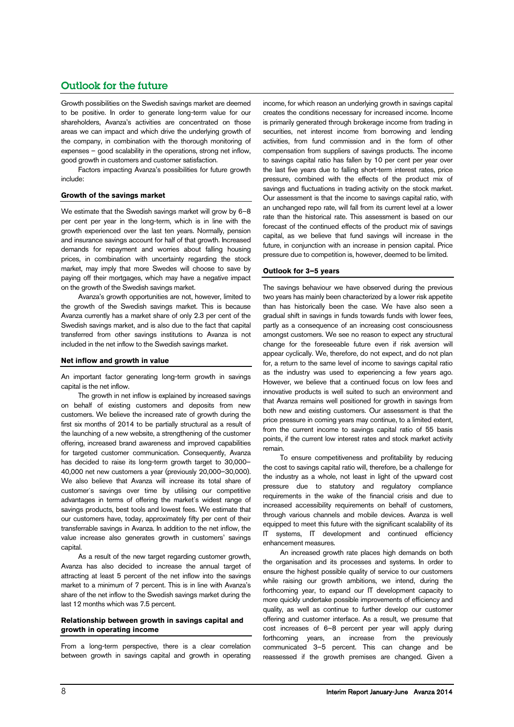# Outlook for the future

Growth possibilities on the Swedish savings market are deemed to be positive. In order to generate long-term value for our shareholders, Avanza's activities are concentrated on those areas we can impact and which drive the underlying growth of the company, in combination with the thorough monitoring of expenses – good scalability in the operations, strong net inflow, good growth in customers and customer satisfaction.

Factors impacting Avanza's possibilities for future growth include:

#### **Growth of the savings market**

We estimate that the Swedish savings market will grow by 6–8 per cent per year in the long-term, which is in line with the growth experienced over the last ten years. Normally, pension and insurance savings account for half of that growth. Increased demands for repayment and worries about falling housing prices, in combination with uncertainty regarding the stock market, may imply that more Swedes will choose to save by paying off their mortgages, which may have a negative impact on the growth of the Swedish savings market.

Avanza's growth opportunities are not, however, limited to the growth of the Swedish savings market. This is because Avanza currently has a market share of only 2.3 per cent of the Swedish savings market, and is also due to the fact that capital transferred from other savings institutions to Avanza is not included in the net inflow to the Swedish savings market.

#### **Net inflow and growth in value**

An important factor generating long-term growth in savings capital is the net inflow.

The growth in net inflow is explained by increased savings on behalf of existing customers and deposits from new customers. We believe the increased rate of growth during the first six months of 2014 to be partially structural as a result of the launching of a new website, a strengthening of the customer offering, increased brand awareness and improved capabilities for targeted customer communication. Consequently, Avanza has decided to raise its long-term growth target to 30,000– 40,000 net new customers a year (previously 20,000–30,000). We also believe that Avanza will increase its total share of customer´s savings over time by utilising our competitive advantages in terms of offering the market´s widest range of savings products, best tools and lowest fees. We estimate that our customers have, today, approximately fifty per cent of their transferrable savings in Avanza. In addition to the net inflow, the value increase also generates growth in customers' savings capital.

As a result of the new target regarding customer growth, Avanza has also decided to increase the annual target of attracting at least 5 percent of the net inflow into the savings market to a minimum of 7 percent. This is in line with Avanza's share of the net inflow to the Swedish savings market during the last 12 months which was 7.5 percent.

#### **Relationship between growth in savings capital and growth in operating income**

From a long-term perspective, there is a clear correlation between growth in savings capital and growth in operating

income, for which reason an underlying growth in savings capital creates the conditions necessary for increased income. Income is primarily generated through brokerage income from trading in securities, net interest income from borrowing and lending activities, from fund commission and in the form of other compensation from suppliers of savings products. The income to savings capital ratio has fallen by 10 per cent per year over the last five years due to falling short-term interest rates, price pressure, combined with the effects of the product mix of savings and fluctuations in trading activity on the stock market. Our assessment is that the income to savings capital ratio, with an unchanged repo rate, will fall from its current level at a lower rate than the historical rate. This assessment is based on our forecast of the continued effects of the product mix of savings capital, as we believe that fund savings will increase in the future, in conjunction with an increase in pension capital. Price pressure due to competition is, however, deemed to be limited.

#### **Outlook for 3–5 years**

The savings behaviour we have observed during the previous two years has mainly been characterized by a lower risk appetite than has historically been the case. We have also seen a gradual shift in savings in funds towards funds with lower fees, partly as a consequence of an increasing cost consciousness amongst customers. We see no reason to expect any structural change for the foreseeable future even if risk aversion will appear cyclically. We, therefore, do not expect, and do not plan for, a return to the same level of income to savings capital ratio as the industry was used to experiencing a few years ago. However, we believe that a continued focus on low fees and innovative products is well suited to such an environment and that Avanza remains well positioned for growth in savings from both new and existing customers. Our assessment is that the price pressure in coming years may continue, to a limited extent, from the current income to savings capital ratio of 55 basis points, if the current low interest rates and stock market activity remain.

To ensure competitiveness and profitability by reducing the cost to savings capital ratio will, therefore, be a challenge for the industry as a whole, not least in light of the upward cost pressure due to statutory and regulatory compliance requirements in the wake of the financial crisis and due to increased accessibility requirements on behalf of customers, through various channels and mobile devices. Avanza is well equipped to meet this future with the significant scalability of its IT systems, IT development and continued efficiency enhancement measures.

An increased growth rate places high demands on both the organisation and its processes and systems. In order to ensure the highest possible quality of service to our customers while raising our growth ambitions, we intend, during the forthcoming year, to expand our IT development capacity to more quickly undertake possible improvements of efficiency and quality, as well as continue to further develop our customer offering and customer interface. As a result, we presume that cost increases of 6–8 percent per year will apply during forthcoming years, an increase from the previously communicated 3–5 percent. This can change and be reassessed if the growth premises are changed. Given a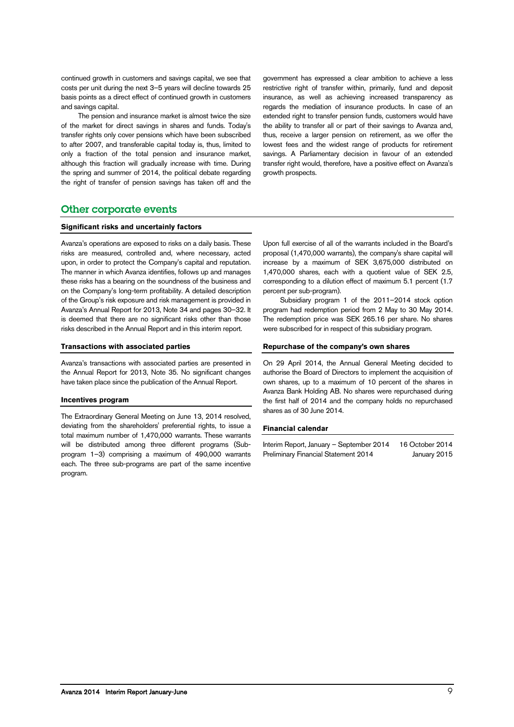continued growth in customers and savings capital, we see that costs per unit during the next 3–5 years will decline towards 25 basis points as a direct effect of continued growth in customers and savings capital.

The pension and insurance market is almost twice the size of the market for direct savings in shares and funds. Today's transfer rights only cover pensions which have been subscribed to after 2007, and transferable capital today is, thus, limited to only a fraction of the total pension and insurance market, although this fraction will gradually increase with time. During the spring and summer of 2014, the political debate regarding the right of transfer of pension savings has taken off and the

government has expressed a clear ambition to achieve a less restrictive right of transfer within, primarily, fund and deposit insurance, as well as achieving increased transparency as regards the mediation of insurance products. In case of an extended right to transfer pension funds, customers would have the ability to transfer all or part of their savings to Avanza and, thus, receive a larger pension on retirement, as we offer the lowest fees and the widest range of products for retirement savings. A Parliamentary decision in favour of an extended transfer right would, therefore, have a positive effect on Avanza's growth prospects.

## Other corporate events

#### **Significant risks and uncertainly factors**

Avanza's operations are exposed to risks on a daily basis. These risks are measured, controlled and, where necessary, acted upon, in order to protect the Company's capital and reputation. The manner in which Avanza identifies, follows up and manages these risks has a bearing on the soundness of the business and on the Company's long-term profitability. A detailed description of the Group's risk exposure and risk management is provided in Avanza's Annual Report for 2013, Note 34 and pages 30–32. It is deemed that there are no significant risks other than those risks described in the Annual Report and in this interim report.

#### **Transactions with associated parties**

Avanza's transactions with associated parties are presented in the Annual Report for 2013, Note 35. No significant changes have taken place since the publication of the Annual Report.

#### **Incentives program**

The Extraordinary General Meeting on June 13, 2014 resolved, deviating from the shareholders' preferential rights, to issue a total maximum number of 1,470,000 warrants. These warrants will be distributed among three different programs (Subprogram 1–3) comprising a maximum of 490,000 warrants each. The three sub-programs are part of the same incentive program.

Upon full exercise of all of the warrants included in the Board's proposal (1,470,000 warrants), the company's share capital will increase by a maximum of SEK 3,675,000 distributed on 1,470,000 shares, each with a quotient value of SEK 2.5, corresponding to a dilution effect of maximum 5.1 percent (1.7 percent per sub-program).

Subsidiary program 1 of the 2011–2014 stock option program had redemption period from 2 May to 30 May 2014. The redemption price was SEK 265.16 per share. No shares were subscribed for in respect of this subsidiary program.

#### **Repurchase of the company's own shares**

On 29 April 2014, the Annual General Meeting decided to authorise the Board of Directors to implement the acquisition of own shares, up to a maximum of 10 percent of the shares in Avanza Bank Holding AB. No shares were repurchased during the first half of 2014 and the company holds no repurchased shares as of 30 June 2014.

#### **Financial calendar**

Interim Report, January – September 2014 16 October 2014 Preliminary Financial Statement 2014 January 2015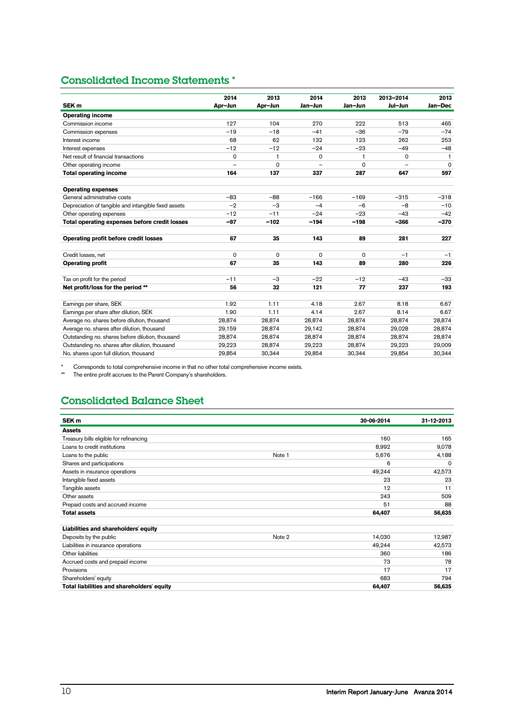# Consolidated Income Statements \*

|                                                      | 2014    | 2013         | 2014     | 2013     | 2013-2014 | 2013         |
|------------------------------------------------------|---------|--------------|----------|----------|-----------|--------------|
| SEK <sub>m</sub>                                     | Apr-Jun | Apr-Jun      | Jan-Jun  | Jan-Jun  | Jul-Jun   | Jan-Dec      |
| <b>Operating income</b>                              |         |              |          |          |           |              |
| Commission income                                    | 127     | 104          | 270      | 222      | 513       | 465          |
| Commission expenses                                  | $-19$   | $-18$        | $-41$    | $-36$    | $-79$     | $-74$        |
| Interest income                                      | 68      | 62           | 132      | 123      | 262       | 253          |
| Interest expenses                                    | $-12$   | $-12$        | $-24$    | $-23$    | $-49$     | $-48$        |
| Net result of financial transactions                 | 0       | $\mathbf{1}$ | $\Omega$ | 1        | 0         | $\mathbf{1}$ |
| Other operating income                               |         | 0            |          | $\Omega$ |           | $\mathbf 0$  |
| <b>Total operating income</b>                        | 164     | 137          | 337      | 287      | 647       | 597          |
|                                                      |         |              |          |          |           |              |
| <b>Operating expenses</b>                            |         |              |          |          |           |              |
| General administrative costs                         | $-83$   | $-88$        | $-166$   | $-169$   | $-315$    | $-318$       |
| Depreciation of tangible and intangible fixed assets | $-2$    | $-3$         | $-4$     | $-6$     | $-8$      | $-10$        |
| Other operating expenses                             | $-12$   | $-11$        | $-24$    | $-23$    | $-43$     | $-42$        |
| Total operating expenses before credit losses        | $-97$   | $-102$       | $-194$   | $-198$   | $-366$    | $-370$       |
|                                                      |         |              |          |          |           |              |
| Operating profit before credit losses                | 67      | 35           | 143      | 89       | 281       | 227          |
| Credit losses, net                                   | 0       | 0            | 0        | $\Omega$ | $-1$      | $-1$         |
| <b>Operating profit</b>                              | 67      | 35           | 143      | 89       | 280       | 226          |
|                                                      |         |              |          |          |           |              |
| Tax on profit for the period                         | $-11$   | $-3$         | $-22$    | $-12$    | $-43$     | $-33$        |
| Net profit/loss for the period **                    | 56      | 32           | 121      | 77       | 237       | 193          |
|                                                      |         |              |          |          |           |              |
| Earnings per share, SEK                              | 1.92    | 1.11         | 4.18     | 2.67     | 8.18      | 6.67         |
| Earnings per share after dilution, SEK               | 1.90    | 1.11         | 4.14     | 2.67     | 8.14      | 6.67         |
| Average no. shares before dilution, thousand         | 28.874  | 28.874       | 28.874   | 28.874   | 28.874    | 28,874       |
| Average no. shares after dilution, thousand          | 29,159  | 28,874       | 29,142   | 28.874   | 29.028    | 28.874       |
| Outstanding no. shares before dilution, thousand     | 28.874  | 28.874       | 28.874   | 28.874   | 28.874    | 28.874       |
| Outstanding no. shares after dilution, thousand      | 29,223  | 28,874       | 29,223   | 28,874   | 29,223    | 29,009       |
| No. shares upon full dilution, thousand              | 29,854  | 30,344       | 29,854   | 30,344   | 29,854    | 30,344       |
|                                                      |         |              |          |          |           |              |

\* Corresponds to total comprehensive income in that no other total comprehensive income exists.<br>\*\* The entire profit accrues to the Parent Company's shareholders

The entire profit accrues to the Parent Company's shareholders.

# Consolidated Balance Sheet

| SEK <sub>m</sub>                           |        | 30-06-2014 | 31-12-2013 |
|--------------------------------------------|--------|------------|------------|
| <b>Assets</b>                              |        |            |            |
| Treasury bills eligible for refinancing    |        | 160        | 165        |
| Loans to credit institutions               |        | 8,992      | 9,078      |
| Loans to the public                        | Note 1 | 5,676      | 4,188      |
| Shares and participations                  |        | 6          | $\Omega$   |
| Assets in insurance operations             |        | 49,244     | 42,573     |
| Intangible fixed assets                    |        | 23         | 23         |
| Tangible assets                            |        | 12         | 11         |
| Other assets                               |        | 243        | 509        |
| Prepaid costs and accrued income           |        | 51         | 88         |
| <b>Total assets</b>                        |        | 64,407     | 56,635     |
| Liabilities and shareholders' equity       |        |            |            |
| Deposits by the public                     | Note 2 | 14,030     | 12,987     |
| Liabilities in insurance operations        |        | 49,244     | 42,573     |
| Other liabilities                          |        | 360        | 186        |
| Accrued costs and prepaid income           |        | 73         | 78         |
| Provisions                                 |        | 17         | 17         |
| Shareholders' equity                       |        | 683        | 794        |
| Total liabilities and shareholders' equity |        | 64,407     | 56,635     |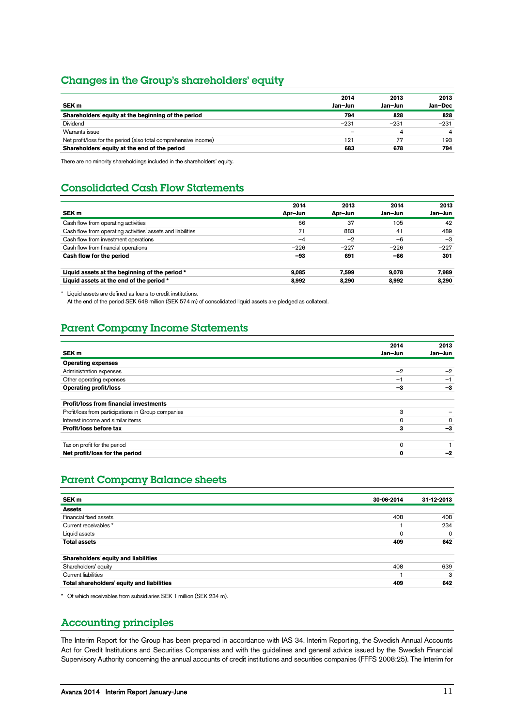## Changes in the Group's shareholders' equity

|                                                                  | 2014                     | 2013    | 2013    |
|------------------------------------------------------------------|--------------------------|---------|---------|
| SEK <sub>m</sub>                                                 | Jan-Jun                  | Jan-Jun | Jan-Dec |
| Shareholders' equity at the beginning of the period              | 794                      | 828     | 828     |
| Dividend                                                         | $-231$                   | $-231$  | $-231$  |
| Warrants issue                                                   | $\overline{\phantom{m}}$ | 4       |         |
| Net profit/loss for the period (also total comprehensive income) | 121                      | 77      | 193     |
| Shareholders' equity at the end of the period                    | 683                      | 678     | 794     |

There are no minority shareholdings included in the shareholders' equity.

# Consolidated Cash Flow Statements

| SEK <sub>m</sub>                                            | 2014<br>Apr-Jun | 2013<br>Apr-Jun | 2014<br>Jan-Jun | 2013<br>Jan-Jun |
|-------------------------------------------------------------|-----------------|-----------------|-----------------|-----------------|
| Cash flow from operating activities                         | 66              | 37              | 105             | 42              |
| Cash flow from operating activities' assets and liabilities | 71              | 883             | 41              | 489             |
| Cash flow from investment operations                        | $-4$            | $-2$            | $-6$            | $-3$            |
| Cash flow from financial operations                         | $-226$          | $-227$          | $-226$          | $-227$          |
| Cash flow for the period                                    | -93             | 691             | -86             | 301             |
| Liquid assets at the beginning of the period *              | 9.085           | 7.599           | 9.078           | 7.989           |
| Liquid assets at the end of the period *                    | 8.992           | 8.290           | 8.992           | 8,290           |

\* Liquid assets are defined as loans to credit institutions.

At the end of the period SEK 648 million (SEK 574 m) of consolidated liquid assets are pledged as collateral.

# Parent Company Income Statements

|                                                    | 2014     | 2013    |
|----------------------------------------------------|----------|---------|
| SEK <sub>m</sub>                                   | Jan-Jun  | Jan-Jun |
| <b>Operating expenses</b>                          |          |         |
| Administration expenses                            | $-2$     | $-2$    |
| Other operating expenses                           | -1       | $-1$    |
| <b>Operating profit/loss</b>                       | -3       | -3      |
| <b>Profit/loss from financial investments</b>      |          |         |
| Profit/loss from participations in Group companies | 3        |         |
| Interest income and similar items                  | $\Omega$ | ∩       |
| Profit/loss before tax                             | 3        | -3      |
| Tax on profit for the period                       | $\Omega$ |         |
| Net profit/loss for the period                     | 0        | -2      |

# Parent Company Balance sheets

| SEK <sub>m</sub>                           | 30-06-2014  | 31-12-2013 |
|--------------------------------------------|-------------|------------|
| <b>Assets</b>                              |             |            |
| Financial fixed assets                     | 408         | 408        |
| Current receivables *                      |             | 234        |
| Liquid assets                              | $\mathbf 0$ | $\Omega$   |
| <b>Total assets</b>                        | 409         | 642        |
| Shareholders' equity and liabilities       |             |            |
| Shareholders' equity                       | 408         | 639        |
| <b>Current liabilities</b>                 |             | 3          |
| Total shareholders' equity and liabilities | 409         | 642        |

\* Of which receivables from subsidiaries SEK 1 million (SEK 234 m).

## Accounting principles

The Interim Report for the Group has been prepared in accordance with IAS 34, Interim Reporting, the Swedish Annual Accounts Act for Credit Institutions and Securities Companies and with the guidelines and general advice issued by the Swedish Financial Supervisory Authority concerning the annual accounts of credit institutions and securities companies (FFFS 2008:25). The Interim for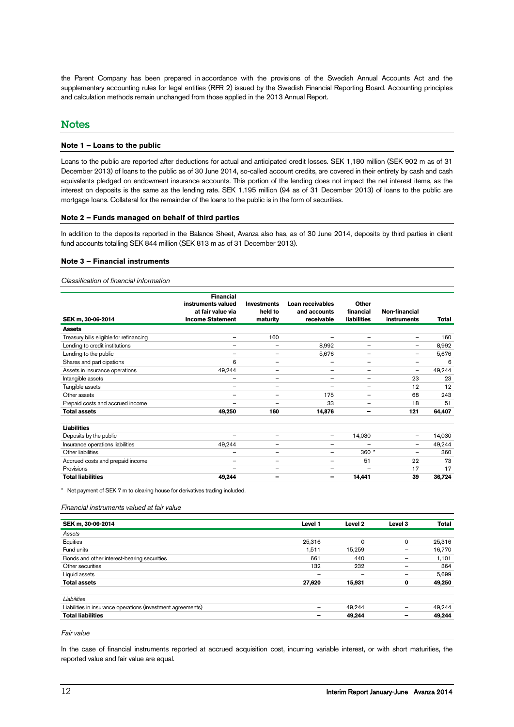the Parent Company has been prepared in accordance with the provisions of the Swedish Annual Accounts Act and the supplementary accounting rules for legal entities (RFR 2) issued by the Swedish Financial Reporting Board. Accounting principles and calculation methods remain unchanged from those applied in the 2013 Annual Report.

## **Notes**

#### **Note 1 – Loans to the public**

Loans to the public are reported after deductions for actual and anticipated credit losses. SEK 1,180 million (SEK 902 m as of 31 December 2013) of loans to the public as of 30 June 2014, so-called account credits, are covered in their entirety by cash and cash equivalents pledged on endowment insurance accounts. This portion of the lending does not impact the net interest items, as the interest on deposits is the same as the lending rate. SEK 1,195 million (94 as of 31 December 2013) of loans to the public are mortgage loans. Collateral for the remainder of the loans to the public is in the form of securities.

#### **Note 2 – Funds managed on behalf of third parties**

In addition to the deposits reported in the Balance Sheet, Avanza also has, as of 30 June 2014, deposits by third parties in client fund accounts totalling SEK 844 million (SEK 813 m as of 31 December 2013).

#### **Note 3 – Financial instruments**

#### *Classification of financial information*

| SEK m, 30-06-2014                       | <b>Financial</b><br>instruments valued<br>at fair value via<br><b>Income Statement</b> | <b>Investments</b><br>held to<br>maturity | Loan receivables<br>and accounts<br>receivable | Other<br>financial<br><b>liabilities</b> | Non-financial<br>instruments | Total  |
|-----------------------------------------|----------------------------------------------------------------------------------------|-------------------------------------------|------------------------------------------------|------------------------------------------|------------------------------|--------|
| <b>Assets</b>                           |                                                                                        |                                           |                                                |                                          |                              |        |
| Treasury bills eligible for refinancing | $\overline{\phantom{0}}$                                                               | 160                                       | -                                              | $\overline{\phantom{0}}$                 | $\overline{\phantom{m}}$     | 160    |
| Lending to credit institutions          | -                                                                                      | $\qquad \qquad -$                         | 8,992                                          | -                                        |                              | 8,992  |
| Lending to the public                   | $\overline{\phantom{0}}$                                                               | $\qquad \qquad -$                         | 5,676                                          | $\overline{\phantom{0}}$                 | $\overline{\phantom{m}}$     | 5,676  |
| Shares and participations               | 6                                                                                      | $\qquad \qquad =$                         |                                                | $\overline{\phantom{0}}$                 | $\overline{\phantom{a}}$     | 6      |
| Assets in insurance operations          | 49,244                                                                                 | $\qquad \qquad -$                         | $\qquad \qquad -$                              | -                                        | $\overline{\phantom{a}}$     | 49,244 |
| Intangible assets                       | $\overline{\phantom{0}}$                                                               | $\qquad \qquad =$                         | -                                              | -                                        | 23                           | 23     |
| Tangible assets                         | $\overline{\phantom{0}}$                                                               | $\qquad \qquad -$                         | —                                              | $\overline{\phantom{0}}$                 | 12                           | 12     |
| Other assets                            | -                                                                                      |                                           | 175                                            | -                                        | 68                           | 243    |
| Prepaid costs and accrued income        | -                                                                                      |                                           | 33                                             | -                                        | 18                           | 51     |
| <b>Total assets</b>                     | 49,250                                                                                 | 160                                       | 14,876                                         | -                                        | 121                          | 64,407 |
| <b>Liabilities</b>                      |                                                                                        |                                           |                                                |                                          |                              |        |
| Deposits by the public                  | $\overline{\phantom{0}}$                                                               | $\qquad \qquad -$                         | $\overline{\phantom{0}}$                       | 14,030                                   | $\overline{\phantom{m}}$     | 14,030 |
| Insurance operations liabilities        | 49,244                                                                                 |                                           | —                                              | -                                        | $\overline{\phantom{m}}$     | 49,244 |
| Other liabilities                       | $\overline{\phantom{0}}$                                                               | $\qquad \qquad =$                         | —                                              | $360*$                                   |                              | 360    |
| Accrued costs and prepaid income        | $\overline{\phantom{0}}$                                                               | $\qquad \qquad -$                         | —                                              | 51                                       | 22                           | 73     |
| Provisions                              | -                                                                                      | -                                         | -                                              | $\overline{\phantom{0}}$                 | 17                           | 17     |
| <b>Total liabilities</b>                | 49,244                                                                                 | -                                         | -                                              | 14,441                                   | 39                           | 36,724 |

\* Net payment of SEK 7 m to clearing house for derivatives trading included.

#### *Financial instruments valued at fair value*

| SEK m, 30-06-2014                                           | Level 1                      | Level 2                  | Level 3         | <b>Total</b> |
|-------------------------------------------------------------|------------------------------|--------------------------|-----------------|--------------|
| Assets                                                      |                              |                          |                 |              |
| Equities                                                    | 25,316                       | $\Omega$                 | 0               | 25,316       |
| Fund units                                                  | 1,511                        | 15,259                   | -               | 16,770       |
| Bonds and other interest-bearing securities                 | 661                          | 440                      |                 | 1,101        |
| Other securities                                            | 132                          | 232                      |                 | 364          |
| Liquid assets                                               | $\qquad \qquad \blacksquare$ | $\overline{\phantom{m}}$ | -               | 5,699        |
| <b>Total assets</b>                                         | 27,620                       | 15,931                   | 0               | 49,250       |
| Liabilities                                                 |                              |                          |                 |              |
| Liabilities in insurance operations (investment agreements) | -                            | 49,244                   | $\qquad \qquad$ | 49,244       |
| <b>Total liabilities</b>                                    | -                            | 49,244                   | -               | 49,244       |

In the case of financial instruments reported at accrued acquisition cost, incurring variable interest, or with short maturities, the reported value and fair value are equal.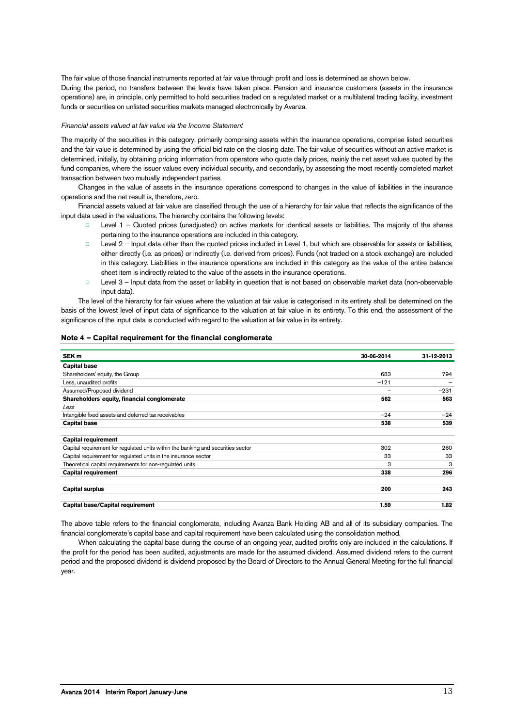The fair value of those financial instruments reported at fair value through profit and loss is determined as shown below. During the period, no transfers between the levels have taken place. Pension and insurance customers (assets in the insurance operations) are, in principle, only permitted to hold securities traded on a regulated market or a multilateral trading facility, investment funds or securities on unlisted securities markets managed electronically by Avanza.

#### *Financial assets valued at fair value via the Income Statement*

The majority of the securities in this category, primarily comprising assets within the insurance operations, comprise listed securities and the fair value is determined by using the official bid rate on the closing date. The fair value of securities without an active market is determined, initially, by obtaining pricing information from operators who quote daily prices, mainly the net asset values quoted by the fund companies, where the issuer values every individual security, and secondarily, by assessing the most recently completed market transaction between two mutually independent parties.

Changes in the value of assets in the insurance operations correspond to changes in the value of liabilities in the insurance operations and the net result is, therefore, zero.

Financial assets valued at fair value are classified through the use of a hierarchy for fair value that reflects the significance of the input data used in the valuations. The hierarchy contains the following levels:

- Level 1 Quoted prices (unadjusted) on active markets for identical assets or liabilities. The majority of the shares pertaining to the insurance operations are included in this category.
- □ Level 2 Input data other than the quoted prices included in Level 1, but which are observable for assets or liabilities, either directly (i.e. as prices) or indirectly (i.e. derived from prices). Funds (not traded on a stock exchange) are included in this category. Liabilities in the insurance operations are included in this category as the value of the entire balance sheet item is indirectly related to the value of the assets in the insurance operations.
- □ Level 3 Input data from the asset or liability in question that is not based on observable market data (non-observable input data).

The level of the hierarchy for fair values where the valuation at fair value is categorised in its entirety shall be determined on the basis of the lowest level of input data of significance to the valuation at fair value in its entirety. To this end, the assessment of the significance of the input data is conducted with regard to the valuation at fair value in its entirety.

#### <span id="page-12-0"></span>**Note 4 – Capital requirement for the financial conglomerate**

| SEK <sub>m</sub>                                                                 | 30-06-2014 | 31-12-2013 |
|----------------------------------------------------------------------------------|------------|------------|
| <b>Capital base</b>                                                              |            |            |
| Shareholders' equity, the Group                                                  | 683        | 794        |
| Less, unaudited profits                                                          | $-121$     |            |
| Assumed/Proposed dividend                                                        | —          | $-231$     |
| Shareholders' equity, financial conglomerate                                     | 562        | 563        |
| Less                                                                             |            |            |
| Intangible fixed assets and deferred tax receivables                             | $-24$      | $-24$      |
| <b>Capital base</b>                                                              | 538        | 539        |
| <b>Capital requirement</b>                                                       |            |            |
| Capital requirement for regulated units within the banking and securities sector | 302        | 260        |
| Capital requirement for regulated units in the insurance sector                  | 33         | 33         |
| Theoretical capital requirements for non-regulated units                         | 3          | 3          |
| <b>Capital requirement</b>                                                       | 338        | 296        |
| <b>Capital surplus</b>                                                           | 200        | 243        |
| <b>Capital base/Capital requirement</b>                                          | 1.59       | 1.82       |

The above table refers to the financial conglomerate, including Avanza Bank Holding AB and all of its subsidiary companies. The financial conglomerate's capital base and capital requirement have been calculated using the consolidation method.

When calculating the capital base during the course of an ongoing year, audited profits only are included in the calculations. If the profit for the period has been audited, adjustments are made for the assumed dividend. Assumed dividend refers to the current period and the proposed dividend is dividend proposed by the Board of Directors to the Annual General Meeting for the full financial year.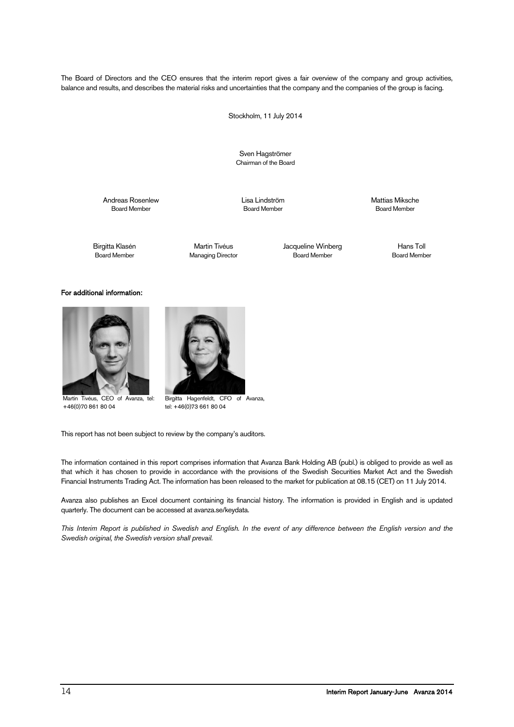The Board of Directors and the CEO ensures that the interim report gives a fair overview of the company and group activities, balance and results, and describes the material risks and uncertainties that the company and the companies of the group is facing.

Stockholm, 11 July 2014

Sven Hagströmer Chairman of the Board

Andreas Rosenlew Lisa Lindström Mattias Miksche

**Board Member** 

Managing Director

Birgitta Klasén Martin Tivéus Jacqueline Winberg Hans Toll

#### For additional information:



 Martin Tivéus, CEO of Avanza, tel: +46(0)70 861 80 04



Birgitta Hagenfeldt, CFO of Avanza, tel: +46(0)73 661 80 04

This report has not been subject to review by the company's auditors.

The information contained in this report comprises information that Avanza Bank Holding AB (publ.) is obliged to provide as well as that which it has chosen to provide in accordance with the provisions of the Swedish Securities Market Act and the Swedish Financial Instruments Trading Act. The information has been released to the market for publication at 08.15 (CET) on 11 July 2014.

Avanza also publishes an Excel document containing its financial history. The information is provided in English and is updated quarterly. The document can be accessed at avanza.se/keydata.

*This Interim Report is published in Swedish and English. In the event of any difference between the English version and the Swedish original, the Swedish version shall prevail.*